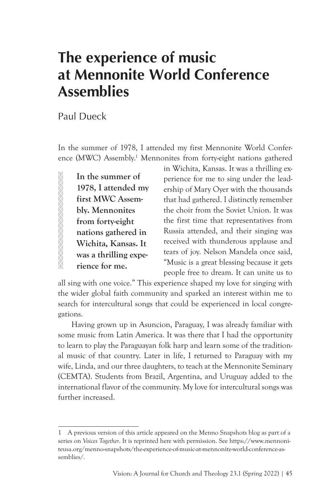## **The experience of music at Mennonite World Conference Assemblies**

Paul Dueck

In the summer of 1978, I attended my first Mennonite World Conference (MWC) Assembly.<sup>1</sup> Mennonites from forty-eight nations gathered

**In the summer of 1978, I attended my first MWC Assembly. Mennonites from forty-eight nations gathered in Wichita, Kansas. It was a thrilling experience for me.**

in Wichita, Kansas. It was a thrilling experience for me to sing under the leadership of Mary Oyer with the thousands that had gathered. I distinctly remember the choir from the Soviet Union. It was the first time that representatives from Russia attended, and their singing was received with thunderous applause and tears of joy. Nelson Mandela once said, "Music is a great blessing because it gets people free to dream. It can unite us to

all sing with one voice." This experience shaped my love for singing with the wider global faith community and sparked an interest within me to search for intercultural songs that could be experienced in local congregations.

Having grown up in Asuncion, Paraguay, I was already familiar with some music from Latin America. It was there that I had the opportunity to learn to play the Paraguayan folk harp and learn some of the traditional music of that country. Later in life, I returned to Paraguay with my wife, Linda, and our three daughters, to teach at the Mennonite Seminary (CEMTA). Students from Brazil, Argentina, and Uruguay added to the international flavor of the community. My love for intercultural songs was further increased.

<sup>1</sup> A previous version of this article appeared on the Menno Snapshots blog as part of a series on *Voices Together*. It is reprinted here with permission. See https://www.mennoniteusa.org/menno-snapshots/the-experience-of-music-at-mennonite-world-conference-assemblies/.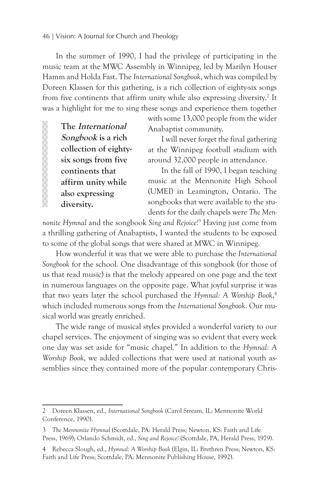## 46 | Vision: A Journal for Church and Theology

In the summer of 1990, I had the privilege of participating in the music team at the MWC Assembly in Winnipeg, led by Marilyn Houser Hamm and Holda Fast. The *International Songbook*, which was compiled by Doreen Klassen for this gathering, is a rich collection of eighty-six songs from five continents that affirm unity while also expressing diversity.<sup>2</sup> It was a highlight for me to sing these songs and experience them together

**The International Songbook is a rich collection of eightysix songs from five continents that affirm unity while also expressing diversity.**

**AAAAAAAAAAAA** 

with some 13,000 people from the wider Anabaptist community.

I will never forget the final gathering at the Winnipeg football stadium with around 32,000 people in attendance.

In the fall of 1990, I began teaching music at the Mennonite High School (UMEI) in Leamington, Ontario. The songbooks that were available to the students for the daily chapels were *The Men-*

*nonite Hymnal* and the songbook *Sing and Rejoice!*<sup>3</sup> Having just come from a thrilling gathering of Anabaptists, I wanted the students to be exposed to some of the global songs that were shared at MWC in Winnipeg.

How wonderful it was that we were able to purchase the *International Songbook* for the school. One disadvantage of this songbook (for those of us that read music) is that the melody appeared on one page and the text in numerous languages on the opposite page. What joyful surprise it was that two years later the school purchased the *Hymnal: A Worship Book*, 4 which included numerous songs from the *International Songbook*. Our musical world was greatly enriched.

The wide range of musical styles provided a wonderful variety to our chapel services. The enjoyment of singing was so evident that every week one day was set aside for "music chapel." In addition to the *Hymnal: A Worship Book*, we added collections that were used at national youth assemblies since they contained more of the popular contemporary Chris-

<sup>2</sup> Doreen Klassen, ed., *International Songbook* (Carol Stream, IL: Mennonite World Conference, 1990).

<sup>3</sup> *The Mennonite Hymnal* (Scottdale, PA: Herald Press; Newton, KS: Faith and Life Press, 1969); Orlando Schmidt, ed., *Sing and Rejoice!* (Scottdale, PA, Herald Press, 1979).

<sup>4</sup> Rebecca Slough, ed., *Hymnal: A Worship Book* (Elgin, IL: Brethren Press; Newton, KS: Faith and Life Press; Scottdale, PA: Mennonite Publishing House, 1992).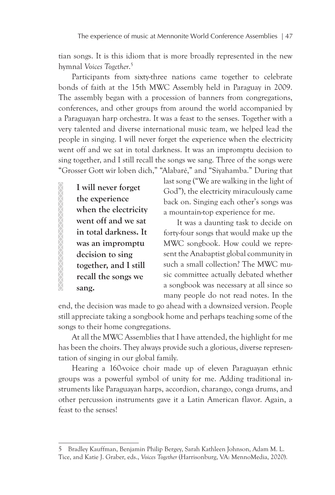tian songs. It is this idiom that is more broadly represented in the new hymnal *Voices Together*. 5

Participants from sixty-three nations came together to celebrate bonds of faith at the 15th MWC Assembly held in Paraguay in 2009. The assembly began with a procession of banners from congregations, conferences, and other groups from around the world accompanied by a Paraguayan harp orchestra. It was a feast to the senses. Together with a very talented and diverse international music team, we helped lead the people in singing. I will never forget the experience when the electricity went off and we sat in total darkness. It was an impromptu decision to sing together, and I still recall the songs we sang. Three of the songs were "Grosser Gott wir loben dich," "Alabaré," and "Siyahamba." During that

**I will never forget the experience when the electricity went off and we sat in total darkness. It was an impromptu decision to sing together, and I still recall the songs we sang.**

XXXXXXXXXXXXXXXXXX

last song ("We are walking in the light of God"), the electricity miraculously came back on. Singing each other's songs was a mountain-top experience for me.

It was a daunting task to decide on forty-four songs that would make up the MWC songbook. How could we represent the Anabaptist global community in such a small collection? The MWC music committee actually debated whether a songbook was necessary at all since so many people do not read notes. In the

end, the decision was made to go ahead with a downsized version. People still appreciate taking a songbook home and perhaps teaching some of the songs to their home congregations.

At all the MWC Assemblies that I have attended, the highlight for me has been the choirs. They always provide such a glorious, diverse representation of singing in our global family.

Hearing a 160-voice choir made up of eleven Paraguayan ethnic groups was a powerful symbol of unity for me. Adding traditional instruments like Paraguayan harps, accordion, charango, conga drums, and other percussion instruments gave it a Latin American flavor. Again, a feast to the senses!

<sup>5</sup> Bradley Kauffman, Benjamin Philip Bergey, Sarah Kathleen Johnson, Adam M. L. Tice, and Katie J. Graber, eds., *Voices Together* (Harrisonburg, VA: MennoMedia, 2020).